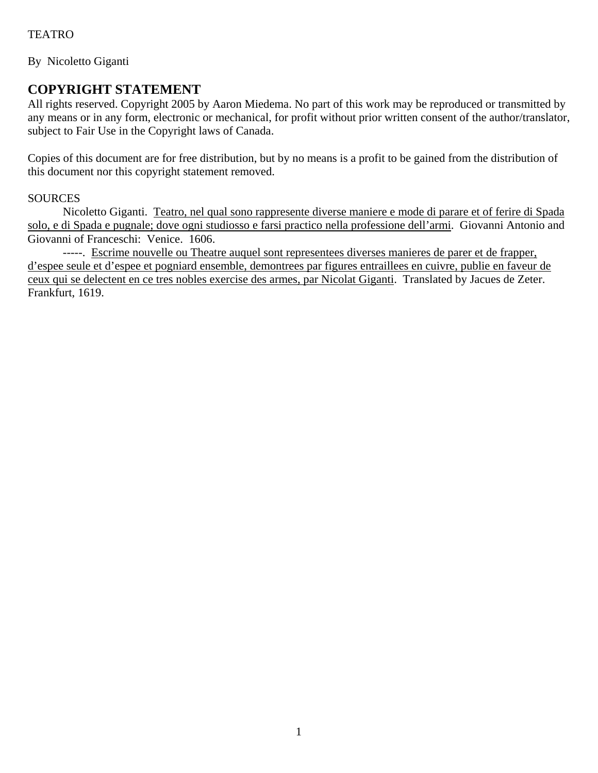By Nicoletto Giganti

## **COPYRIGHT STATEMENT**

All rights reserved. Copyright 2005 by Aaron Miedema. No part of this work may be reproduced or transmitted by any means or in any form, electronic or mechanical, for profit without prior written consent of the author/translator, subject to Fair Use in the Copyright laws of Canada.

Copies of this document are for free distribution, but by no means is a profit to be gained from the distribution of this document nor this copyright statement removed.

## **SOURCES**

Nicoletto Giganti. Teatro, nel qual sono rappresente diverse maniere e mode di parare et of ferire di Spada solo, e di Spada e pugnale; dove ogni studiosso e farsi practico nella professione dell'armi. Giovanni Antonio and Giovanni of Franceschi: Venice. 1606.

-----. Escrime nouvelle ou Theatre auquel sont representees diverses manieres de parer et de frapper, d'espee seule et d'espee et pogniard ensemble, demontrees par figures entraillees en cuivre, publie en faveur de ceux qui se delectent en ce tres nobles exercise des armes, par Nicolat Giganti. Translated by Jacues de Zeter. Frankfurt, 1619.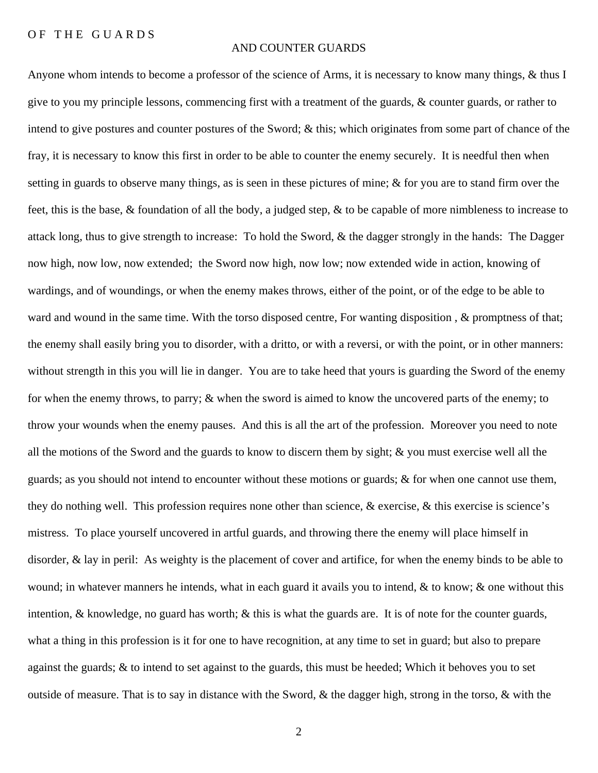## OF THE GUARDS

## AND COUNTER GUARDS

Anyone whom intends to become a professor of the science of Arms, it is necessary to know many things, & thus I give to you my principle lessons, commencing first with a treatment of the guards, & counter guards, or rather to intend to give postures and counter postures of the Sword; & this; which originates from some part of chance of the fray, it is necessary to know this first in order to be able to counter the enemy securely. It is needful then when setting in guards to observe many things, as is seen in these pictures of mine; & for you are to stand firm over the feet, this is the base, & foundation of all the body, a judged step, & to be capable of more nimbleness to increase to attack long, thus to give strength to increase: To hold the Sword, & the dagger strongly in the hands: The Dagger now high, now low, now extended; the Sword now high, now low; now extended wide in action, knowing of wardings, and of woundings, or when the enemy makes throws, either of the point, or of the edge to be able to ward and wound in the same time. With the torso disposed centre, For wanting disposition, & promptness of that; the enemy shall easily bring you to disorder, with a dritto, or with a reversi, or with the point, or in other manners: without strength in this you will lie in danger. You are to take heed that yours is guarding the Sword of the enemy for when the enemy throws, to parry; & when the sword is aimed to know the uncovered parts of the enemy; to throw your wounds when the enemy pauses. And this is all the art of the profession. Moreover you need to note all the motions of the Sword and the guards to know to discern them by sight; & you must exercise well all the guards; as you should not intend to encounter without these motions or guards; & for when one cannot use them, they do nothing well. This profession requires none other than science, & exercise, & this exercise is science's mistress. To place yourself uncovered in artful guards, and throwing there the enemy will place himself in disorder, & lay in peril: As weighty is the placement of cover and artifice, for when the enemy binds to be able to wound; in whatever manners he intends, what in each guard it avails you to intend, & to know; & one without this intention, & knowledge, no guard has worth; & this is what the guards are. It is of note for the counter guards, what a thing in this profession is it for one to have recognition, at any time to set in guard; but also to prepare against the guards; & to intend to set against to the guards, this must be heeded; Which it behoves you to set outside of measure. That is to say in distance with the Sword, & the dagger high, strong in the torso, & with the

2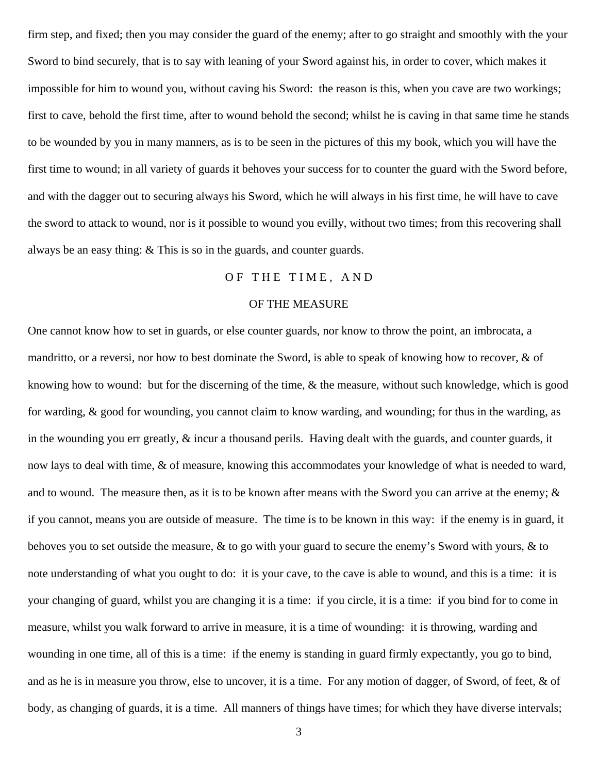firm step, and fixed; then you may consider the guard of the enemy; after to go straight and smoothly with the your Sword to bind securely, that is to say with leaning of your Sword against his, in order to cover, which makes it impossible for him to wound you, without caving his Sword: the reason is this, when you cave are two workings; first to cave, behold the first time, after to wound behold the second; whilst he is caving in that same time he stands to be wounded by you in many manners, as is to be seen in the pictures of this my book, which you will have the first time to wound; in all variety of guards it behoves your success for to counter the guard with the Sword before, and with the dagger out to securing always his Sword, which he will always in his first time, he will have to cave the sword to attack to wound, nor is it possible to wound you evilly, without two times; from this recovering shall always be an easy thing: & This is so in the guards, and counter guards.

## OF THE TIME, AND

## OF THE MEASURE

One cannot know how to set in guards, or else counter guards, nor know to throw the point, an imbrocata, a mandritto, or a reversi, nor how to best dominate the Sword, is able to speak of knowing how to recover, & of knowing how to wound: but for the discerning of the time, & the measure, without such knowledge, which is good for warding, & good for wounding, you cannot claim to know warding, and wounding; for thus in the warding, as in the wounding you err greatly, & incur a thousand perils. Having dealt with the guards, and counter guards, it now lays to deal with time, & of measure, knowing this accommodates your knowledge of what is needed to ward, and to wound. The measure then, as it is to be known after means with the Sword you can arrive at the enemy;  $\&$ if you cannot, means you are outside of measure. The time is to be known in this way: if the enemy is in guard, it behoves you to set outside the measure, & to go with your guard to secure the enemy's Sword with yours, & to note understanding of what you ought to do: it is your cave, to the cave is able to wound, and this is a time: it is your changing of guard, whilst you are changing it is a time: if you circle, it is a time: if you bind for to come in measure, whilst you walk forward to arrive in measure, it is a time of wounding: it is throwing, warding and wounding in one time, all of this is a time: if the enemy is standing in guard firmly expectantly, you go to bind, and as he is in measure you throw, else to uncover, it is a time. For any motion of dagger, of Sword, of feet, & of body, as changing of guards, it is a time. All manners of things have times; for which they have diverse intervals;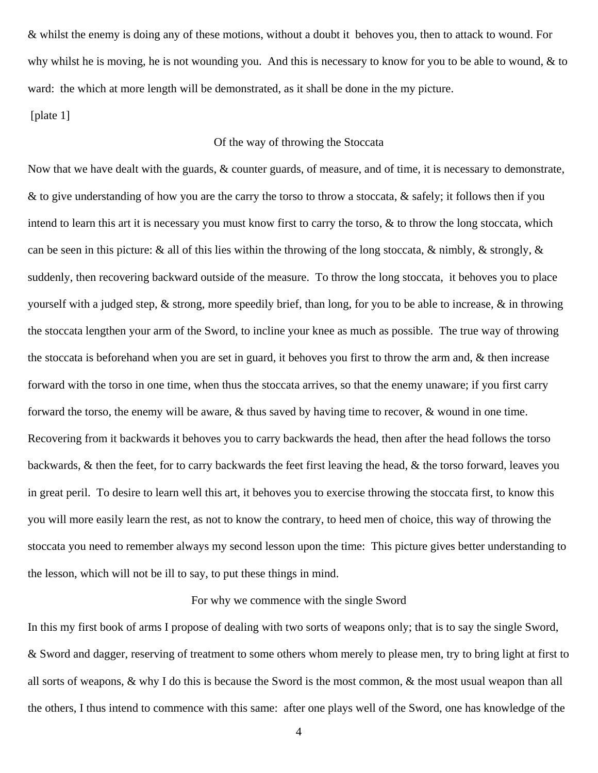& whilst the enemy is doing any of these motions, without a doubt it behoves you, then to attack to wound. For why whilst he is moving, he is not wounding you. And this is necessary to know for you to be able to wound,  $\&$  to ward: the which at more length will be demonstrated, as it shall be done in the my picture.

[plate 1]

## Of the way of throwing the Stoccata

Now that we have dealt with the guards, & counter guards, of measure, and of time, it is necessary to demonstrate, & to give understanding of how you are the carry the torso to throw a stoccata, & safely; it follows then if you intend to learn this art it is necessary you must know first to carry the torso, & to throw the long stoccata, which can be seen in this picture: & all of this lies within the throwing of the long stoccata, & nimbly, & strongly, & suddenly, then recovering backward outside of the measure. To throw the long stoccata, it behoves you to place yourself with a judged step,  $\&$  strong, more speedily brief, than long, for you to be able to increase,  $\&$  in throwing the stoccata lengthen your arm of the Sword, to incline your knee as much as possible. The true way of throwing the stoccata is beforehand when you are set in guard, it behoves you first to throw the arm and, & then increase forward with the torso in one time, when thus the stoccata arrives, so that the enemy unaware; if you first carry forward the torso, the enemy will be aware, & thus saved by having time to recover, & wound in one time. Recovering from it backwards it behoves you to carry backwards the head, then after the head follows the torso backwards, & then the feet, for to carry backwards the feet first leaving the head, & the torso forward, leaves you in great peril. To desire to learn well this art, it behoves you to exercise throwing the stoccata first, to know this you will more easily learn the rest, as not to know the contrary, to heed men of choice, this way of throwing the stoccata you need to remember always my second lesson upon the time: This picture gives better understanding to the lesson, which will not be ill to say, to put these things in mind.

#### For why we commence with the single Sword

In this my first book of arms I propose of dealing with two sorts of weapons only; that is to say the single Sword, & Sword and dagger, reserving of treatment to some others whom merely to please men, try to bring light at first to all sorts of weapons, & why I do this is because the Sword is the most common, & the most usual weapon than all the others, I thus intend to commence with this same: after one plays well of the Sword, one has knowledge of the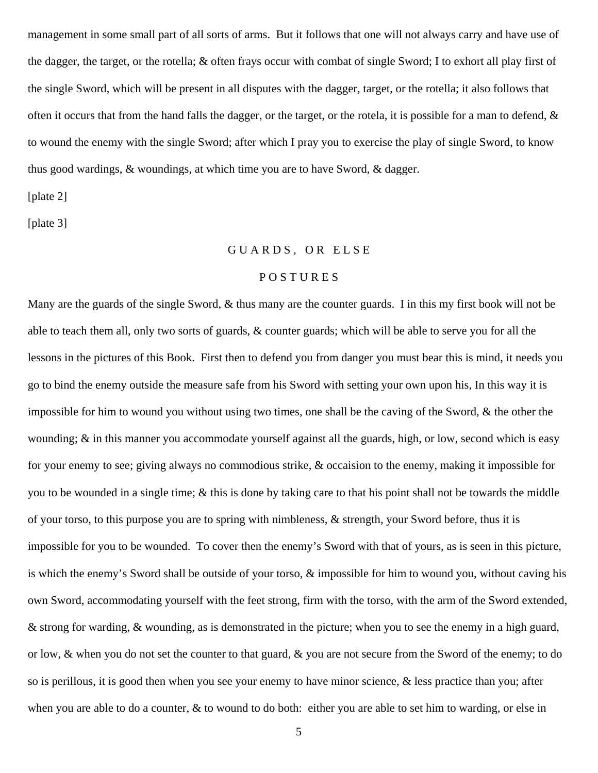management in some small part of all sorts of arms. But it follows that one will not always carry and have use of the dagger, the target, or the rotella; & often frays occur with combat of single Sword; I to exhort all play first of the single Sword, which will be present in all disputes with the dagger, target, or the rotella; it also follows that often it occurs that from the hand falls the dagger, or the target, or the rotela, it is possible for a man to defend,  $\&$ to wound the enemy with the single Sword; after which I pray you to exercise the play of single Sword, to know thus good wardings, & woundings, at which time you are to have Sword, & dagger.

[plate 2]

[plate 3]

## GUARDS, OR ELSE

## P O S T U R E S

Many are the guards of the single Sword,  $\&$  thus many are the counter guards. I in this my first book will not be able to teach them all, only two sorts of guards, & counter guards; which will be able to serve you for all the lessons in the pictures of this Book. First then to defend you from danger you must bear this is mind, it needs you go to bind the enemy outside the measure safe from his Sword with setting your own upon his, In this way it is impossible for him to wound you without using two times, one shall be the caving of the Sword, & the other the wounding; & in this manner you accommodate yourself against all the guards, high, or low, second which is easy for your enemy to see; giving always no commodious strike, & occaision to the enemy, making it impossible for you to be wounded in a single time; & this is done by taking care to that his point shall not be towards the middle of your torso, to this purpose you are to spring with nimbleness, & strength, your Sword before, thus it is impossible for you to be wounded. To cover then the enemy's Sword with that of yours, as is seen in this picture, is which the enemy's Sword shall be outside of your torso, & impossible for him to wound you, without caving his own Sword, accommodating yourself with the feet strong, firm with the torso, with the arm of the Sword extended, & strong for warding, & wounding, as is demonstrated in the picture; when you to see the enemy in a high guard, or low, & when you do not set the counter to that guard, & you are not secure from the Sword of the enemy; to do so is perillous, it is good then when you see your enemy to have minor science, & less practice than you; after when you are able to do a counter,  $\&$  to wound to do both: either you are able to set him to warding, or else in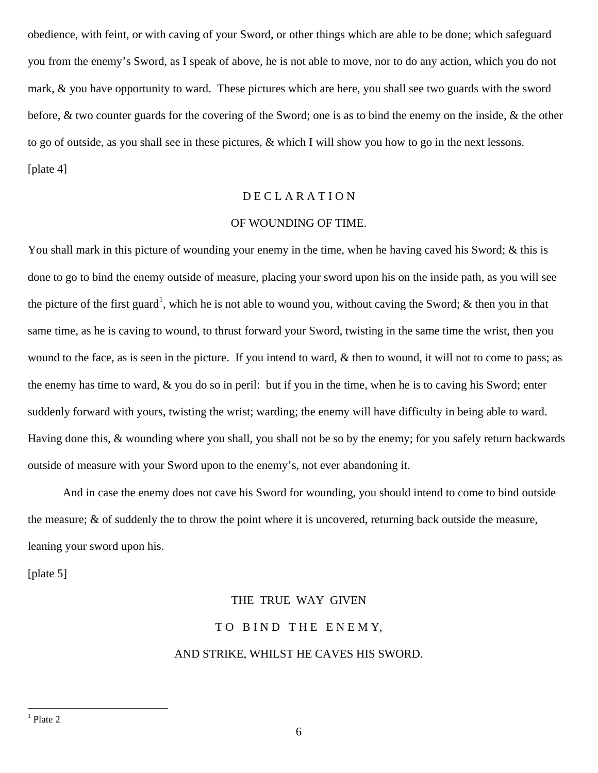obedience, with feint, or with caving of your Sword, or other things which are able to be done; which safeguard you from the enemy's Sword, as I speak of above, he is not able to move, nor to do any action, which you do not mark, & you have opportunity to ward. These pictures which are here, you shall see two guards with the sword before, & two counter guards for the covering of the Sword; one is as to bind the enemy on the inside, & the other to go of outside, as you shall see in these pictures, & which I will show you how to go in the next lessons. [plate 4]

## D E C L A R A T I O N

## OF WOUNDING OF TIME.

You shall mark in this picture of wounding your enemy in the time, when he having caved his Sword; & this is done to go to bind the enemy outside of measure, placing your sword upon his on the inside path, as you will see the picture of the first guard<sup>[1](#page-5-0)</sup>, which he is not able to wound you, without caving the Sword; & then you in that same time, as he is caving to wound, to thrust forward your Sword, twisting in the same time the wrist, then you wound to the face, as is seen in the picture. If you intend to ward,  $\&$  then to wound, it will not to come to pass; as the enemy has time to ward, & you do so in peril: but if you in the time, when he is to caving his Sword; enter suddenly forward with yours, twisting the wrist; warding; the enemy will have difficulty in being able to ward. Having done this, & wounding where you shall, you shall not be so by the enemy; for you safely return backwards outside of measure with your Sword upon to the enemy's, not ever abandoning it.

 And in case the enemy does not cave his Sword for wounding, you should intend to come to bind outside the measure; & of suddenly the to throw the point where it is uncovered, returning back outside the measure, leaning your sword upon his.

<span id="page-5-0"></span>[plate 5]

## THE TRUE WAY GIVEN TO BIND THE ENEMY, AND STRIKE, WHILST HE CAVES HIS SWORD.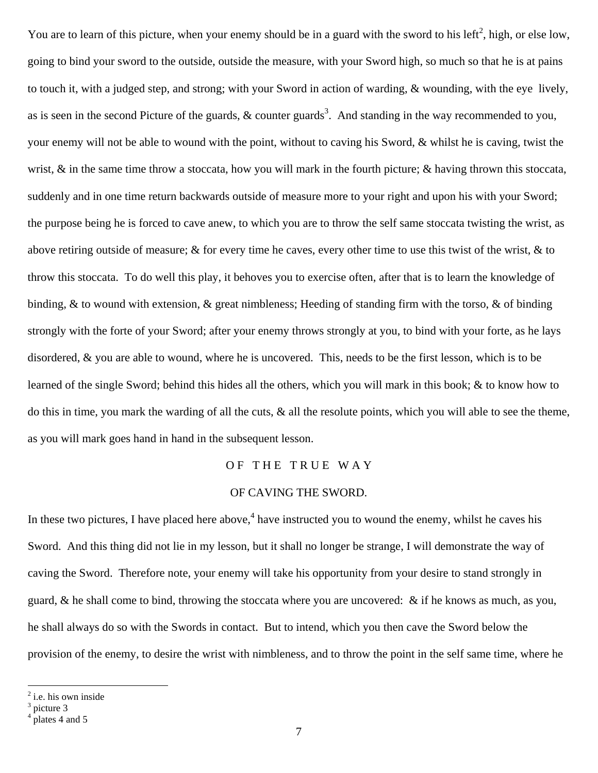You are to learn of this picture, when your enemy should be in a guard with the sword to his left<sup>[2](#page-6-0)</sup>, high, or else low, going to bind your sword to the outside, outside the measure, with your Sword high, so much so that he is at pains to touch it, with a judged step, and strong; with your Sword in action of warding, & wounding, with the eye lively, as is seen in the second Picture of the guards,  $\&$  counter guards<sup>[3](#page-6-1)</sup>. And standing in the way recommended to you, your enemy will not be able to wound with the point, without to caving his Sword, & whilst he is caving, twist the wrist, & in the same time throw a stoccata, how you will mark in the fourth picture; & having thrown this stoccata, suddenly and in one time return backwards outside of measure more to your right and upon his with your Sword; the purpose being he is forced to cave anew, to which you are to throw the self same stoccata twisting the wrist, as above retiring outside of measure; & for every time he caves, every other time to use this twist of the wrist,  $\&$  to throw this stoccata. To do well this play, it behoves you to exercise often, after that is to learn the knowledge of binding, & to wound with extension, & great nimbleness; Heeding of standing firm with the torso, & of binding strongly with the forte of your Sword; after your enemy throws strongly at you, to bind with your forte, as he lays disordered, & you are able to wound, where he is uncovered. This, needs to be the first lesson, which is to be learned of the single Sword; behind this hides all the others, which you will mark in this book; & to know how to do this in time, you mark the warding of all the cuts,  $\&$  all the resolute points, which you will able to see the theme, as you will mark goes hand in hand in the subsequent lesson.

## OF THE TRUE WAY

## OF CAVING THE SWORD.

In these two pictures, I have placed here above,  $4$  have instructed you to wound the enemy, whilst he caves his Sword. And this thing did not lie in my lesson, but it shall no longer be strange, I will demonstrate the way of caving the Sword. Therefore note, your enemy will take his opportunity from your desire to stand strongly in guard, & he shall come to bind, throwing the stoccata where you are uncovered: & if he knows as much, as you, he shall always do so with the Swords in contact. But to intend, which you then cave the Sword below the provision of the enemy, to desire the wrist with nimbleness, and to throw the point in the self same time, where he

<span id="page-6-0"></span><sup>&</sup>lt;sup>2</sup> i.e. his own inside

<span id="page-6-1"></span><sup>&</sup>lt;sup>3</sup> picture 3

<span id="page-6-2"></span><sup>4</sup> plates 4 and 5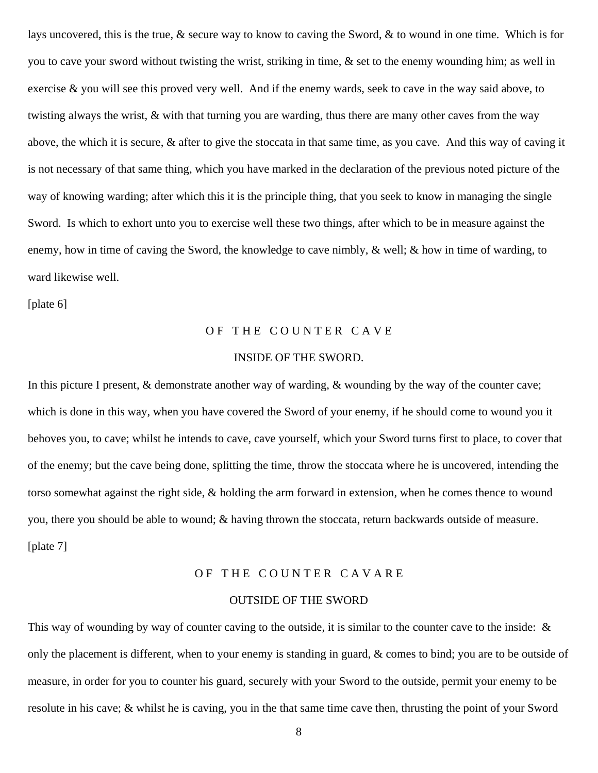lays uncovered, this is the true, & secure way to know to caving the Sword, & to wound in one time. Which is for you to cave your sword without twisting the wrist, striking in time, & set to the enemy wounding him; as well in exercise & you will see this proved very well. And if the enemy wards, seek to cave in the way said above, to twisting always the wrist, & with that turning you are warding, thus there are many other caves from the way above, the which it is secure, & after to give the stoccata in that same time, as you cave. And this way of caving it is not necessary of that same thing, which you have marked in the declaration of the previous noted picture of the way of knowing warding; after which this it is the principle thing, that you seek to know in managing the single Sword. Is which to exhort unto you to exercise well these two things, after which to be in measure against the enemy, how in time of caving the Sword, the knowledge to cave nimbly, & well; & how in time of warding, to ward likewise well.

[plate 6]

## OF THE COUNTER CAVE

## INSIDE OF THE SWORD.

In this picture I present, & demonstrate another way of warding, & wounding by the way of the counter cave; which is done in this way, when you have covered the Sword of your enemy, if he should come to wound you it behoves you, to cave; whilst he intends to cave, cave yourself, which your Sword turns first to place, to cover that of the enemy; but the cave being done, splitting the time, throw the stoccata where he is uncovered, intending the torso somewhat against the right side, & holding the arm forward in extension, when he comes thence to wound you, there you should be able to wound; & having thrown the stoccata, return backwards outside of measure. [plate 7]

## OF THE COUNTER CAVARE

## OUTSIDE OF THE SWORD

This way of wounding by way of counter caving to the outside, it is similar to the counter cave to the inside: & only the placement is different, when to your enemy is standing in guard, & comes to bind; you are to be outside of measure, in order for you to counter his guard, securely with your Sword to the outside, permit your enemy to be resolute in his cave; & whilst he is caving, you in the that same time cave then, thrusting the point of your Sword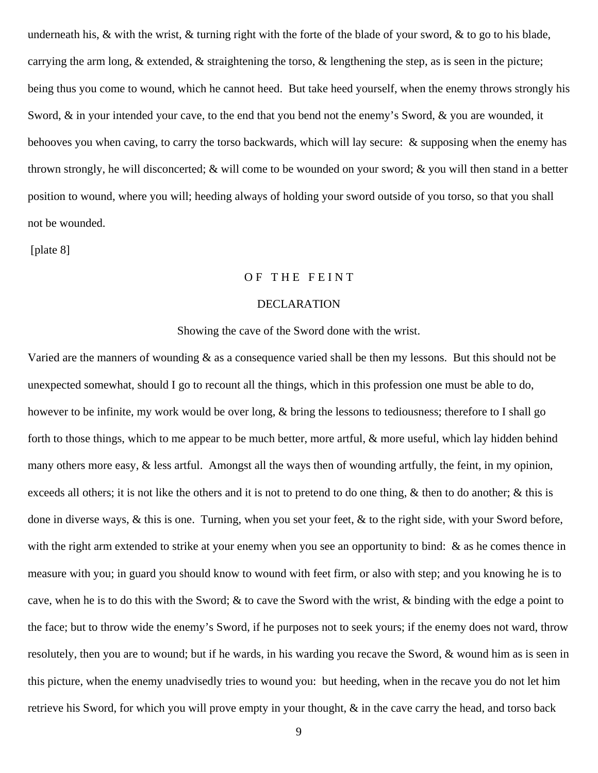underneath his,  $\&$  with the wrist,  $\&$  turning right with the forte of the blade of your sword,  $\&$  to go to his blade, carrying the arm long,  $\&$  extended,  $\&$  straightening the torso,  $\&$  lengthening the step, as is seen in the picture; being thus you come to wound, which he cannot heed. But take heed yourself, when the enemy throws strongly his Sword,  $\&$  in your intended your cave, to the end that you bend not the enemy's Sword,  $\&$  you are wounded, it behooves you when caving, to carry the torso backwards, which will lay secure: & supposing when the enemy has thrown strongly, he will disconcerted; & will come to be wounded on your sword; & you will then stand in a better position to wound, where you will; heeding always of holding your sword outside of you torso, so that you shall not be wounded.

[plate 8]

## OF THE FEINT

## DECLARATION

## Showing the cave of the Sword done with the wrist.

Varied are the manners of wounding & as a consequence varied shall be then my lessons. But this should not be unexpected somewhat, should I go to recount all the things, which in this profession one must be able to do, however to be infinite, my work would be over long, & bring the lessons to tediousness; therefore to I shall go forth to those things, which to me appear to be much better, more artful, & more useful, which lay hidden behind many others more easy, & less artful. Amongst all the ways then of wounding artfully, the feint, in my opinion, exceeds all others; it is not like the others and it is not to pretend to do one thing,  $\&$  then to do another;  $\&$  this is done in diverse ways, & this is one. Turning, when you set your feet, & to the right side, with your Sword before, with the right arm extended to strike at your enemy when you see an opportunity to bind: & as he comes thence in measure with you; in guard you should know to wound with feet firm, or also with step; and you knowing he is to cave, when he is to do this with the Sword; & to cave the Sword with the wrist, & binding with the edge a point to the face; but to throw wide the enemy's Sword, if he purposes not to seek yours; if the enemy does not ward, throw resolutely, then you are to wound; but if he wards, in his warding you recave the Sword, & wound him as is seen in this picture, when the enemy unadvisedly tries to wound you: but heeding, when in the recave you do not let him retrieve his Sword, for which you will prove empty in your thought, & in the cave carry the head, and torso back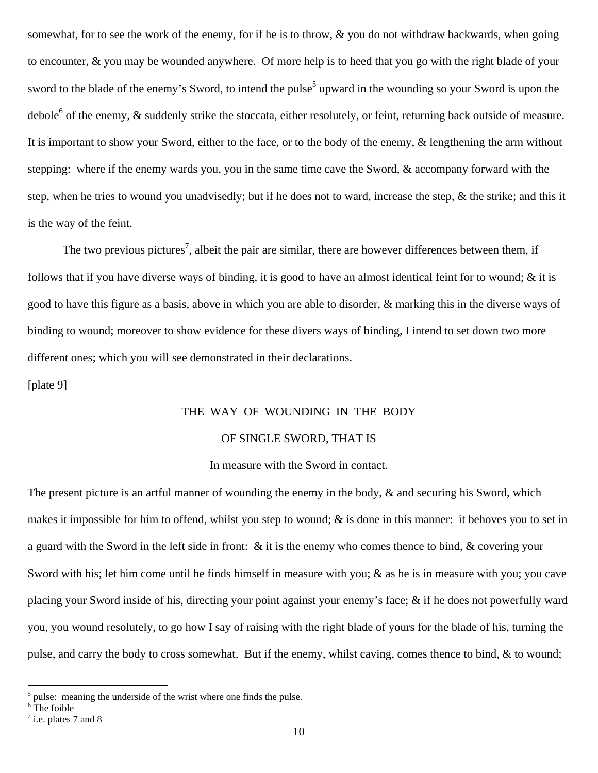somewhat, for to see the work of the enemy, for if he is to throw, & you do not withdraw backwards, when going to encounter, & you may be wounded anywhere. Of more help is to heed that you go with the right blade of your sword to the blade of the enemy's Sword, to intend the pulse<sup>5</sup> upward in the wounding so your Sword is upon the debole<sup>[6](#page-9-1)</sup> of the enemy,  $\&$  suddenly strike the stoccata, either resolutely, or feint, returning back outside of measure. It is important to show your Sword, either to the face, or to the body of the enemy, & lengthening the arm without stepping: where if the enemy wards you, you in the same time cave the Sword, & accompany forward with the step, when he tries to wound you unadvisedly; but if he does not to ward, increase the step, & the strike; and this it is the way of the feint.

The two previous pictures<sup>[7](#page-9-2)</sup>, albeit the pair are similar, there are however differences between them, if follows that if you have diverse ways of binding, it is good to have an almost identical feint for to wound;  $\&$  it is good to have this figure as a basis, above in which you are able to disorder, & marking this in the diverse ways of binding to wound; moreover to show evidence for these divers ways of binding, I intend to set down two more different ones; which you will see demonstrated in their declarations.

[plate 9]

## THE WAY OF WOUNDING IN THE BODY

### OF SINGLE SWORD, THAT IS

## In measure with the Sword in contact.

The present picture is an artful manner of wounding the enemy in the body,  $\&$  and securing his Sword, which makes it impossible for him to offend, whilst you step to wound; & is done in this manner: it behoves you to set in a guard with the Sword in the left side in front: & it is the enemy who comes thence to bind, & covering your Sword with his; let him come until he finds himself in measure with you; & as he is in measure with you; you cave placing your Sword inside of his, directing your point against your enemy's face; & if he does not powerfully ward you, you wound resolutely, to go how I say of raising with the right blade of yours for the blade of his, turning the pulse, and carry the body to cross somewhat. But if the enemy, whilst caving, comes thence to bind, & to wound;

<span id="page-9-0"></span> $<sup>5</sup>$  pulse: meaning the underside of the wrist where one finds the pulse.</sup>

<span id="page-9-1"></span><sup>&</sup>lt;sup>6</sup>The foible

<span id="page-9-2"></span> $<sup>7</sup>$  i.e. plates 7 and 8</sup>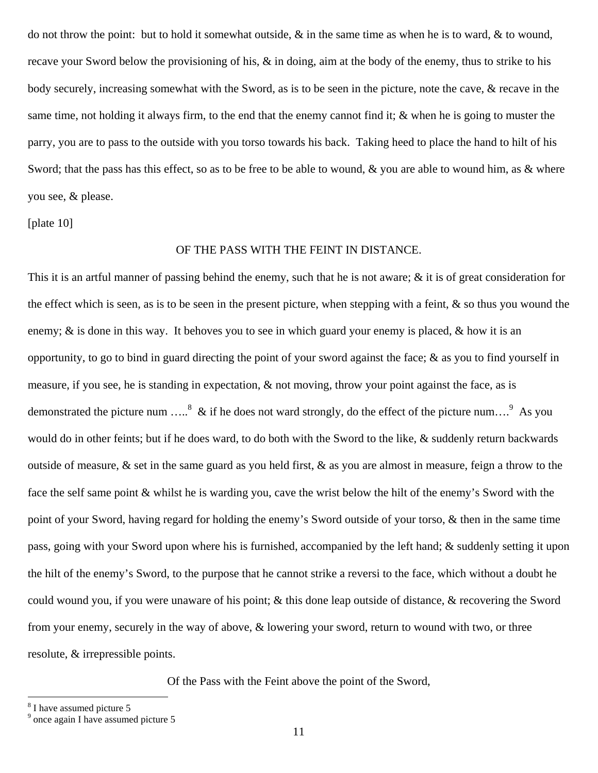do not throw the point: but to hold it somewhat outside, & in the same time as when he is to ward, & to wound, recave your Sword below the provisioning of his, & in doing, aim at the body of the enemy, thus to strike to his body securely, increasing somewhat with the Sword, as is to be seen in the picture, note the cave, & recave in the same time, not holding it always firm, to the end that the enemy cannot find it;  $\&$  when he is going to muster the parry, you are to pass to the outside with you torso towards his back. Taking heed to place the hand to hilt of his Sword; that the pass has this effect, so as to be free to be able to wound,  $\&$  you are able to wound him, as  $\&$  where you see, & please.

[plate 10]

## OF THE PASS WITH THE FEINT IN DISTANCE.

This it is an artful manner of passing behind the enemy, such that he is not aware; & it is of great consideration for the effect which is seen, as is to be seen in the present picture, when stepping with a feint,  $\&$  so thus you wound the enemy; & is done in this way. It behoves you to see in which guard your enemy is placed, & how it is an opportunity, to go to bind in guard directing the point of your sword against the face;  $\&$  as you to find yourself in measure, if you see, he is standing in expectation, & not moving, throw your point against the face, as is demonstrated the picture num .....<sup>[8](#page-10-0)</sup> & if he does not ward strongly, do the effect of the picture num....<sup>9</sup> As you would do in other feints; but if he does ward, to do both with the Sword to the like, & suddenly return backwards outside of measure, & set in the same guard as you held first, & as you are almost in measure, feign a throw to the face the self same point & whilst he is warding you, cave the wrist below the hilt of the enemy's Sword with the point of your Sword, having regard for holding the enemy's Sword outside of your torso, & then in the same time pass, going with your Sword upon where his is furnished, accompanied by the left hand; & suddenly setting it upon the hilt of the enemy's Sword, to the purpose that he cannot strike a reversi to the face, which without a doubt he could wound you, if you were unaware of his point; & this done leap outside of distance, & recovering the Sword from your enemy, securely in the way of above, & lowering your sword, return to wound with two, or three resolute, & irrepressible points.

Of the Pass with the Feint above the point of the Sword,

<span id="page-10-0"></span><sup>&</sup>lt;sup>8</sup> I have assumed picture 5

<span id="page-10-1"></span><sup>&</sup>lt;sup>9</sup> once again I have assumed picture 5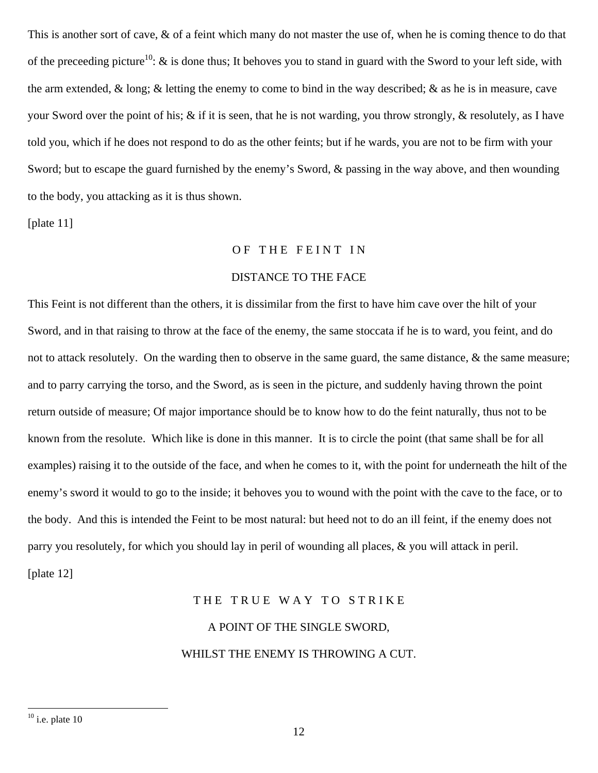This is another sort of cave,  $\&$  of a feint which many do not master the use of, when he is coming thence to do that of the preceeding picture<sup>10</sup>:  $\&$  is done thus; It behoves you to stand in guard with the Sword to your left side, with the arm extended, & long; & letting the enemy to come to bind in the way described; & as he is in measure, cave your Sword over the point of his; & if it is seen, that he is not warding, you throw strongly, & resolutely, as I have told you, which if he does not respond to do as the other feints; but if he wards, you are not to be firm with your Sword; but to escape the guard furnished by the enemy's Sword, & passing in the way above, and then wounding to the body, you attacking as it is thus shown.

[plate 11]

## OF THE FEINT IN

## DISTANCE TO THE FACE

This Feint is not different than the others, it is dissimilar from the first to have him cave over the hilt of your Sword, and in that raising to throw at the face of the enemy, the same stoccata if he is to ward, you feint, and do not to attack resolutely. On the warding then to observe in the same guard, the same distance, & the same measure; and to parry carrying the torso, and the Sword, as is seen in the picture, and suddenly having thrown the point return outside of measure; Of major importance should be to know how to do the feint naturally, thus not to be known from the resolute. Which like is done in this manner. It is to circle the point (that same shall be for all examples) raising it to the outside of the face, and when he comes to it, with the point for underneath the hilt of the enemy's sword it would to go to the inside; it behoves you to wound with the point with the cave to the face, or to the body. And this is intended the Feint to be most natural: but heed not to do an ill feint, if the enemy does not parry you resolutely, for which you should lay in peril of wounding all places, & you will attack in peril. [plate 12]

## THE TRUE WAY TO STRIKE

# A POINT OF THE SINGLE SWORD,

## WHILST THE ENEMY IS THROWING A CUT.

<span id="page-11-0"></span> $10$  i.e. plate 10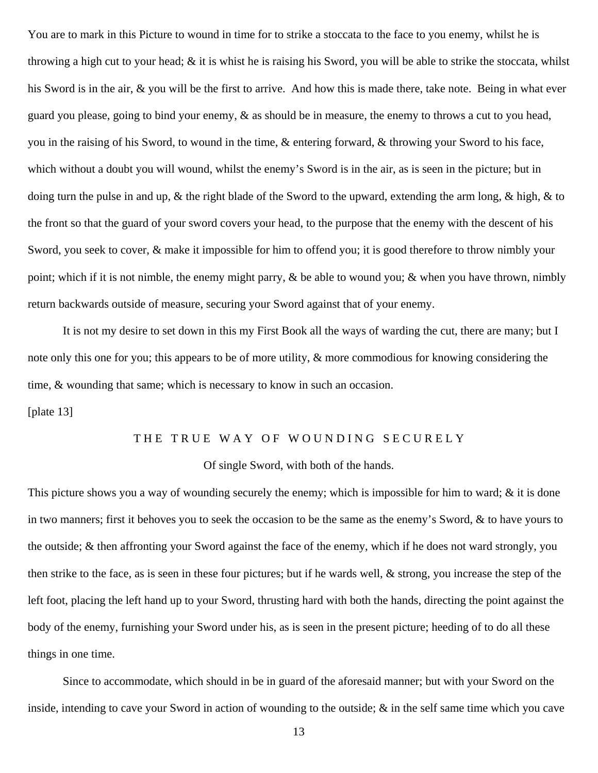You are to mark in this Picture to wound in time for to strike a stoccata to the face to you enemy, whilst he is throwing a high cut to your head; & it is whist he is raising his Sword, you will be able to strike the stoccata, whilst his Sword is in the air, & you will be the first to arrive. And how this is made there, take note. Being in what ever guard you please, going to bind your enemy, & as should be in measure, the enemy to throws a cut to you head, you in the raising of his Sword, to wound in the time, & entering forward, & throwing your Sword to his face, which without a doubt you will wound, whilst the enemy's Sword is in the air, as is seen in the picture; but in doing turn the pulse in and up, & the right blade of the Sword to the upward, extending the arm long, & high, & to the front so that the guard of your sword covers your head, to the purpose that the enemy with the descent of his Sword, you seek to cover, & make it impossible for him to offend you; it is good therefore to throw nimbly your point; which if it is not nimble, the enemy might parry, & be able to wound you; & when you have thrown, nimbly return backwards outside of measure, securing your Sword against that of your enemy.

 It is not my desire to set down in this my First Book all the ways of warding the cut, there are many; but I note only this one for you; this appears to be of more utility, & more commodious for knowing considering the time, & wounding that same; which is necessary to know in such an occasion.

## [plate 13]

## THE TRUE WAY OF WOUNDING SECURELY

## Of single Sword, with both of the hands.

This picture shows you a way of wounding securely the enemy; which is impossible for him to ward; & it is done in two manners; first it behoves you to seek the occasion to be the same as the enemy's Sword, & to have yours to the outside; & then affronting your Sword against the face of the enemy, which if he does not ward strongly, you then strike to the face, as is seen in these four pictures; but if he wards well, & strong, you increase the step of the left foot, placing the left hand up to your Sword, thrusting hard with both the hands, directing the point against the body of the enemy, furnishing your Sword under his, as is seen in the present picture; heeding of to do all these things in one time.

 Since to accommodate, which should in be in guard of the aforesaid manner; but with your Sword on the inside, intending to cave your Sword in action of wounding to the outside; & in the self same time which you cave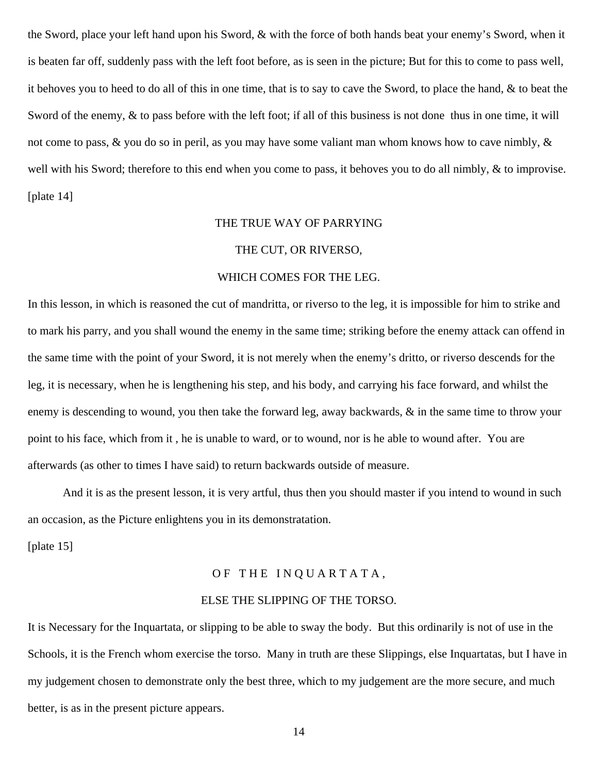the Sword, place your left hand upon his Sword, & with the force of both hands beat your enemy's Sword, when it is beaten far off, suddenly pass with the left foot before, as is seen in the picture; But for this to come to pass well, it behoves you to heed to do all of this in one time, that is to say to cave the Sword, to place the hand, & to beat the Sword of the enemy, & to pass before with the left foot; if all of this business is not done thus in one time, it will not come to pass,  $\&$  you do so in peril, as you may have some valiant man whom knows how to cave nimbly,  $\&$ well with his Sword; therefore to this end when you come to pass, it behoves you to do all nimbly, & to improvise. [plate 14]

## THE TRUE WAY OF PARRYING

## THE CUT, OR RIVERSO,

## WHICH COMES FOR THE LEG.

In this lesson, in which is reasoned the cut of mandritta, or riverso to the leg, it is impossible for him to strike and to mark his parry, and you shall wound the enemy in the same time; striking before the enemy attack can offend in the same time with the point of your Sword, it is not merely when the enemy's dritto, or riverso descends for the leg, it is necessary, when he is lengthening his step, and his body, and carrying his face forward, and whilst the enemy is descending to wound, you then take the forward leg, away backwards, & in the same time to throw your point to his face, which from it , he is unable to ward, or to wound, nor is he able to wound after. You are afterwards (as other to times I have said) to return backwards outside of measure.

 And it is as the present lesson, it is very artful, thus then you should master if you intend to wound in such an occasion, as the Picture enlightens you in its demonstratation.

[plate 15]

## OF THE INQUARTATA,

#### ELSE THE SLIPPING OF THE TORSO.

It is Necessary for the Inquartata, or slipping to be able to sway the body. But this ordinarily is not of use in the Schools, it is the French whom exercise the torso. Many in truth are these Slippings, else Inquartatas, but I have in my judgement chosen to demonstrate only the best three, which to my judgement are the more secure, and much better, is as in the present picture appears.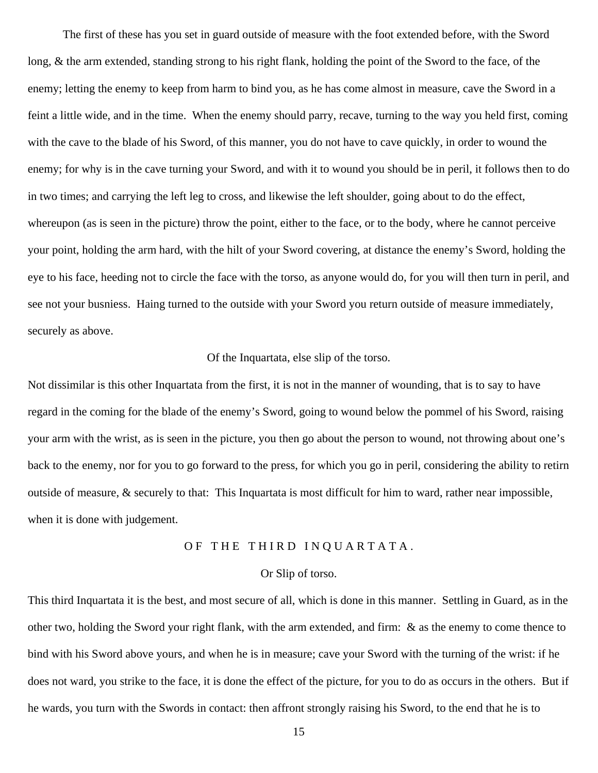The first of these has you set in guard outside of measure with the foot extended before, with the Sword long, & the arm extended, standing strong to his right flank, holding the point of the Sword to the face, of the enemy; letting the enemy to keep from harm to bind you, as he has come almost in measure, cave the Sword in a feint a little wide, and in the time. When the enemy should parry, recave, turning to the way you held first, coming with the cave to the blade of his Sword, of this manner, you do not have to cave quickly, in order to wound the enemy; for why is in the cave turning your Sword, and with it to wound you should be in peril, it follows then to do in two times; and carrying the left leg to cross, and likewise the left shoulder, going about to do the effect, whereupon (as is seen in the picture) throw the point, either to the face, or to the body, where he cannot perceive your point, holding the arm hard, with the hilt of your Sword covering, at distance the enemy's Sword, holding the eye to his face, heeding not to circle the face with the torso, as anyone would do, for you will then turn in peril, and see not your busniess. Haing turned to the outside with your Sword you return outside of measure immediately, securely as above.

## Of the Inquartata, else slip of the torso.

Not dissimilar is this other Inquartata from the first, it is not in the manner of wounding, that is to say to have regard in the coming for the blade of the enemy's Sword, going to wound below the pommel of his Sword, raising your arm with the wrist, as is seen in the picture, you then go about the person to wound, not throwing about one's back to the enemy, nor for you to go forward to the press, for which you go in peril, considering the ability to retirn outside of measure, & securely to that: This Inquartata is most difficult for him to ward, rather near impossible, when it is done with judgement.

## OF THE THIRD INQUARTATA.

## Or Slip of torso.

This third Inquartata it is the best, and most secure of all, which is done in this manner. Settling in Guard, as in the other two, holding the Sword your right flank, with the arm extended, and firm: & as the enemy to come thence to bind with his Sword above yours, and when he is in measure; cave your Sword with the turning of the wrist: if he does not ward, you strike to the face, it is done the effect of the picture, for you to do as occurs in the others. But if he wards, you turn with the Swords in contact: then affront strongly raising his Sword, to the end that he is to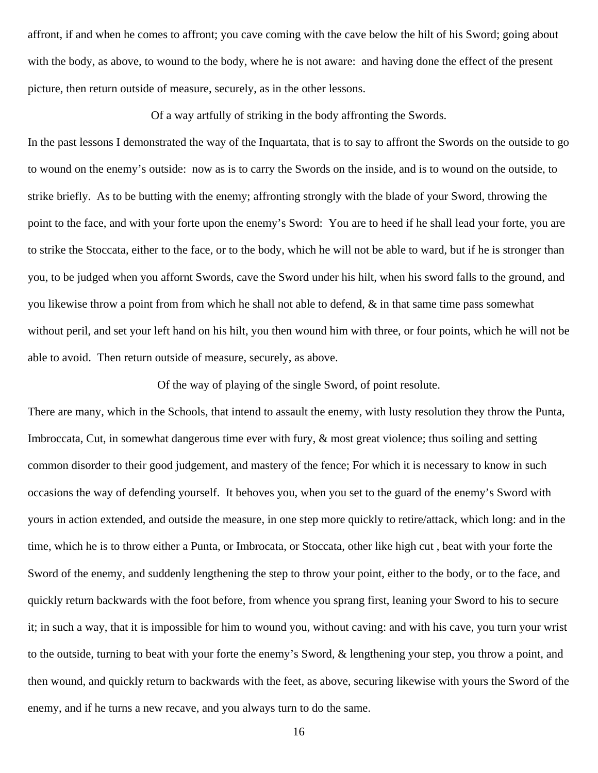affront, if and when he comes to affront; you cave coming with the cave below the hilt of his Sword; going about with the body, as above, to wound to the body, where he is not aware: and having done the effect of the present picture, then return outside of measure, securely, as in the other lessons.

Of a way artfully of striking in the body affronting the Swords.

In the past lessons I demonstrated the way of the Inquartata, that is to say to affront the Swords on the outside to go to wound on the enemy's outside: now as is to carry the Swords on the inside, and is to wound on the outside, to strike briefly. As to be butting with the enemy; affronting strongly with the blade of your Sword, throwing the point to the face, and with your forte upon the enemy's Sword: You are to heed if he shall lead your forte, you are to strike the Stoccata, either to the face, or to the body, which he will not be able to ward, but if he is stronger than you, to be judged when you affornt Swords, cave the Sword under his hilt, when his sword falls to the ground, and you likewise throw a point from from which he shall not able to defend,  $\&$  in that same time pass somewhat without peril, and set your left hand on his hilt, you then wound him with three, or four points, which he will not be able to avoid. Then return outside of measure, securely, as above.

Of the way of playing of the single Sword, of point resolute.

There are many, which in the Schools, that intend to assault the enemy, with lusty resolution they throw the Punta, Imbroccata, Cut, in somewhat dangerous time ever with fury, & most great violence; thus soiling and setting common disorder to their good judgement, and mastery of the fence; For which it is necessary to know in such occasions the way of defending yourself. It behoves you, when you set to the guard of the enemy's Sword with yours in action extended, and outside the measure, in one step more quickly to retire/attack, which long: and in the time, which he is to throw either a Punta, or Imbrocata, or Stoccata, other like high cut , beat with your forte the Sword of the enemy, and suddenly lengthening the step to throw your point, either to the body, or to the face, and quickly return backwards with the foot before, from whence you sprang first, leaning your Sword to his to secure it; in such a way, that it is impossible for him to wound you, without caving: and with his cave, you turn your wrist to the outside, turning to beat with your forte the enemy's Sword, & lengthening your step, you throw a point, and then wound, and quickly return to backwards with the feet, as above, securing likewise with yours the Sword of the enemy, and if he turns a new recave, and you always turn to do the same.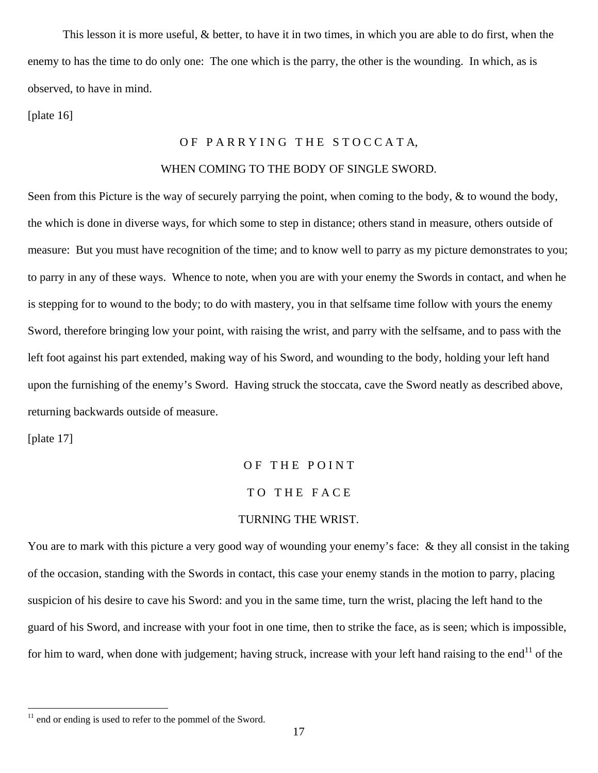This lesson it is more useful, & better, to have it in two times, in which you are able to do first, when the enemy to has the time to do only one: The one which is the parry, the other is the wounding. In which, as is observed, to have in mind.

[plate 16]

## OF PARRYING THE STOCCATA,

## WHEN COMING TO THE BODY OF SINGLE SWORD.

Seen from this Picture is the way of securely parrying the point, when coming to the body, & to wound the body, the which is done in diverse ways, for which some to step in distance; others stand in measure, others outside of measure: But you must have recognition of the time; and to know well to parry as my picture demonstrates to you; to parry in any of these ways. Whence to note, when you are with your enemy the Swords in contact, and when he is stepping for to wound to the body; to do with mastery, you in that selfsame time follow with yours the enemy Sword, therefore bringing low your point, with raising the wrist, and parry with the selfsame, and to pass with the left foot against his part extended, making way of his Sword, and wounding to the body, holding your left hand upon the furnishing of the enemy's Sword. Having struck the stoccata, cave the Sword neatly as described above, returning backwards outside of measure.

[plate 17]

 $\overline{a}$ 

## OF THE POINT TO THE FACE TURNING THE WRIST.

You are to mark with this picture a very good way of wounding your enemy's face: & they all consist in the taking of the occasion, standing with the Swords in contact, this case your enemy stands in the motion to parry, placing suspicion of his desire to cave his Sword: and you in the same time, turn the wrist, placing the left hand to the guard of his Sword, and increase with your foot in one time, then to strike the face, as is seen; which is impossible, for him to ward, when done with judgement; having struck, increase with your left hand raising to the end<sup>11</sup> of the

<span id="page-16-0"></span><sup>&</sup>lt;sup>11</sup> end or ending is used to refer to the pommel of the Sword.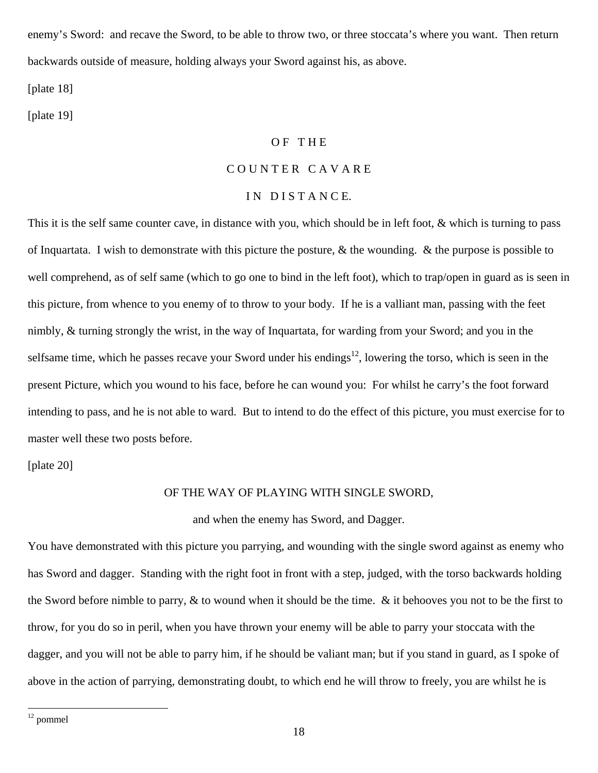enemy's Sword: and recave the Sword, to be able to throw two, or three stoccata's where you want. Then return backwards outside of measure, holding always your Sword against his, as above.

[plate 18]

[plate 19]

## OF THE

## COUNTER CAVARE

## IN DISTANCE.

This it is the self same counter cave, in distance with you, which should be in left foot, & which is turning to pass of Inquartata. I wish to demonstrate with this picture the posture,  $\&$  the wounding.  $\&$  the purpose is possible to well comprehend, as of self same (which to go one to bind in the left foot), which to trap/open in guard as is seen in this picture, from whence to you enemy of to throw to your body. If he is a valliant man, passing with the feet nimbly, & turning strongly the wrist, in the way of Inquartata, for warding from your Sword; and you in the selfsame time, which he passes recave your Sword under his endings<sup>12</sup>, lowering the torso, which is seen in the present Picture, which you wound to his face, before he can wound you: For whilst he carry's the foot forward intending to pass, and he is not able to ward. But to intend to do the effect of this picture, you must exercise for to master well these two posts before.

[plate 20]

## OF THE WAY OF PLAYING WITH SINGLE SWORD,

## and when the enemy has Sword, and Dagger.

You have demonstrated with this picture you parrying, and wounding with the single sword against as enemy who has Sword and dagger. Standing with the right foot in front with a step, judged, with the torso backwards holding the Sword before nimble to parry,  $\&$  to wound when it should be the time.  $\&$  it behooves you not to be the first to throw, for you do so in peril, when you have thrown your enemy will be able to parry your stoccata with the dagger, and you will not be able to parry him, if he should be valiant man; but if you stand in guard, as I spoke of above in the action of parrying, demonstrating doubt, to which end he will throw to freely, you are whilst he is

<span id="page-17-0"></span><sup>12</sup> pommel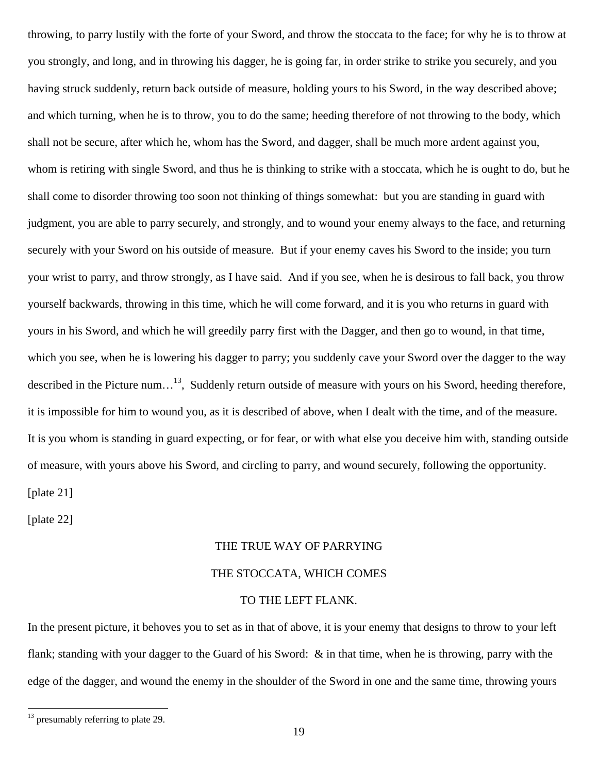throwing, to parry lustily with the forte of your Sword, and throw the stoccata to the face; for why he is to throw at you strongly, and long, and in throwing his dagger, he is going far, in order strike to strike you securely, and you having struck suddenly, return back outside of measure, holding yours to his Sword, in the way described above; and which turning, when he is to throw, you to do the same; heeding therefore of not throwing to the body, which shall not be secure, after which he, whom has the Sword, and dagger, shall be much more ardent against you, whom is retiring with single Sword, and thus he is thinking to strike with a stoccata, which he is ought to do, but he shall come to disorder throwing too soon not thinking of things somewhat: but you are standing in guard with judgment, you are able to parry securely, and strongly, and to wound your enemy always to the face, and returning securely with your Sword on his outside of measure. But if your enemy caves his Sword to the inside; you turn your wrist to parry, and throw strongly, as I have said. And if you see, when he is desirous to fall back, you throw yourself backwards, throwing in this time, which he will come forward, and it is you who returns in guard with yours in his Sword, and which he will greedily parry first with the Dagger, and then go to wound, in that time, which you see, when he is lowering his dagger to parry; you suddenly cave your Sword over the dagger to the way described in the Picture num...<sup>13</sup>, Suddenly return outside of measure with yours on his Sword, heeding therefore, it is impossible for him to wound you, as it is described of above, when I dealt with the time, and of the measure. It is you whom is standing in guard expecting, or for fear, or with what else you deceive him with, standing outside of measure, with yours above his Sword, and circling to parry, and wound securely, following the opportunity. [plate 21]

[plate 22]

 $\overline{a}$ 

## THE TRUE WAY OF PARRYING

## THE STOCCATA, WHICH COMES

## TO THE LEFT FLANK.

In the present picture, it behoves you to set as in that of above, it is your enemy that designs to throw to your left flank; standing with your dagger to the Guard of his Sword: & in that time, when he is throwing, parry with the edge of the dagger, and wound the enemy in the shoulder of the Sword in one and the same time, throwing yours

<span id="page-18-0"></span><sup>&</sup>lt;sup>13</sup> presumably referring to plate 29.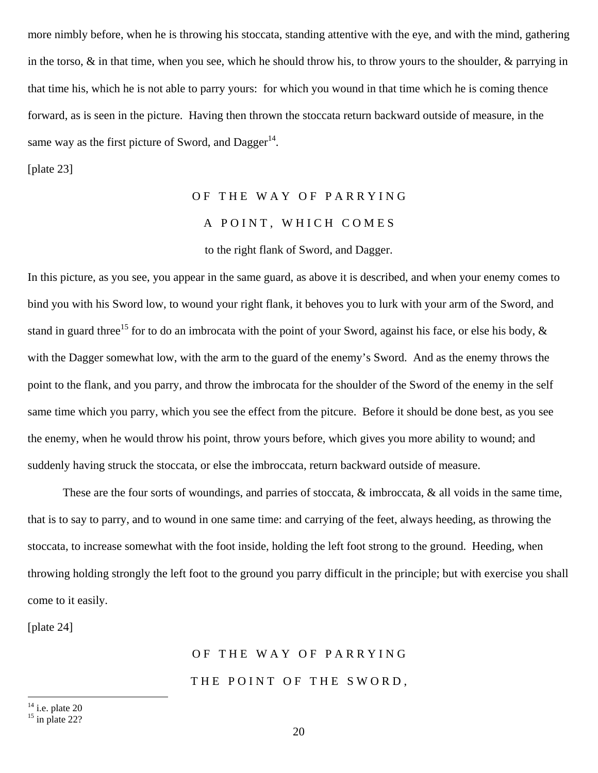more nimbly before, when he is throwing his stoccata, standing attentive with the eye, and with the mind, gathering in the torso, & in that time, when you see, which he should throw his, to throw yours to the shoulder, & parrying in that time his, which he is not able to parry yours: for which you wound in that time which he is coming thence forward, as is seen in the picture. Having then thrown the stoccata return backward outside of measure, in the same way as the first picture of Sword, and Dagger<sup>14</sup>.

[plate 23]

## OF THE WAY OF PARRYING A POINT, WHICH COMES to the right flank of Sword, and Dagger.

In this picture, as you see, you appear in the same guard, as above it is described, and when your enemy comes to bind you with his Sword low, to wound your right flank, it behoves you to lurk with your arm of the Sword, and stand in guard three<sup>15</sup> for to do an imbrocata with the point of your Sword, against his face, or else his body,  $\&$ with the Dagger somewhat low, with the arm to the guard of the enemy's Sword. And as the enemy throws the point to the flank, and you parry, and throw the imbrocata for the shoulder of the Sword of the enemy in the self same time which you parry, which you see the effect from the pitcure. Before it should be done best, as you see the enemy, when he would throw his point, throw yours before, which gives you more ability to wound; and suddenly having struck the stoccata, or else the imbroccata, return backward outside of measure.

 These are the four sorts of woundings, and parries of stoccata, & imbroccata, & all voids in the same time, that is to say to parry, and to wound in one same time: and carrying of the feet, always heeding, as throwing the stoccata, to increase somewhat with the foot inside, holding the left foot strong to the ground. Heeding, when throwing holding strongly the left foot to the ground you parry difficult in the principle; but with exercise you shall come to it easily.

[plate 24]

## OF THE WAY OF PARRYING THE POINT OF THE SWORD,

<span id="page-19-0"></span> $14$  i.e. plate 20

<span id="page-19-1"></span> $15$  in plate 22?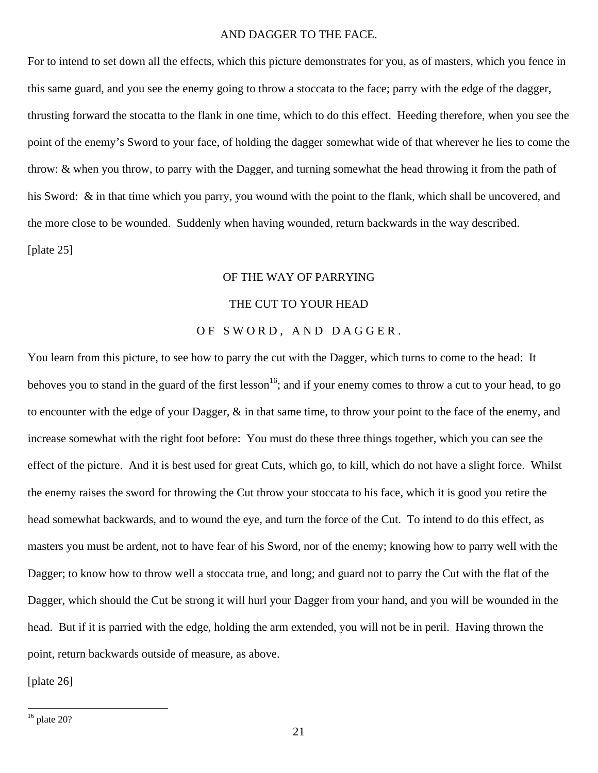## AND DAGGER TO THE FACE.

For to intend to set down all the effects, which this picture demonstrates for you, as of masters, which you fence in this same guard, and you see the enemy going to throw a stoccata to the face; parry with the edge of the dagger, thrusting forward the stocatta to the flank in one time, which to do this effect. Heeding therefore, when you see the point of the enemy's Sword to your face, of holding the dagger somewhat wide of that wherever he lies to come the throw: & when you throw, to parry with the Dagger, and turning somewhat the head throwing it from the path of his Sword: & in that time which you parry, you wound with the point to the flank, which shall be uncovered, and the more close to be wounded. Suddenly when having wounded, return backwards in the way described. [plate 25]

## OF THE WAY OF PARRYING

## THE CUT TO YOUR HEAD

## OF SWORD, AND DAGGER.

You learn from this picture, to see how to parry the cut with the Dagger, which turns to come to the head: It behoves you to stand in the guard of the first lesson<sup>16</sup>; and if your enemy comes to throw a cut to your head, to go to encounter with the edge of your Dagger, & in that same time, to throw your point to the face of the enemy, and increase somewhat with the right foot before: You must do these three things together, which you can see the effect of the picture. And it is best used for great Cuts, which go, to kill, which do not have a slight force. Whilst the enemy raises the sword for throwing the Cut throw your stoccata to his face, which it is good you retire the head somewhat backwards, and to wound the eye, and turn the force of the Cut. To intend to do this effect, as masters you must be ardent, not to have fear of his Sword, nor of the enemy; knowing how to parry well with the Dagger; to know how to throw well a stoccata true, and long; and guard not to parry the Cut with the flat of the Dagger, which should the Cut be strong it will hurl your Dagger from your hand, and you will be wounded in the head. But if it is parried with the edge, holding the arm extended, you will not be in peril. Having thrown the point, return backwards outside of measure, as above.

[plate 26]

<span id="page-20-0"></span> $16$  plate 20?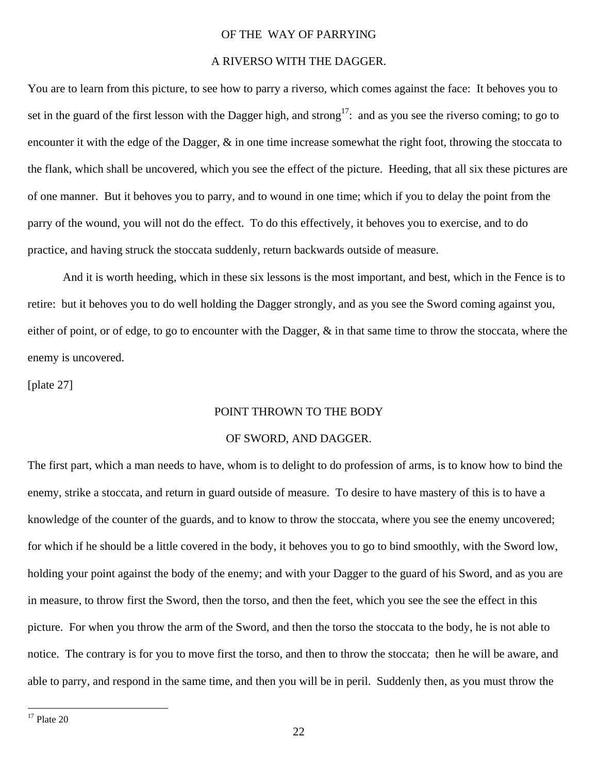## OF THE WAY OF PARRYING

## A RIVERSO WITH THE DAGGER.

You are to learn from this picture, to see how to parry a riverso, which comes against the face: It behoves you to set in the guard of the first lesson with the Dagger high, and strong<sup>17</sup>: and as you see the riverso coming; to go to encounter it with the edge of the Dagger, & in one time increase somewhat the right foot, throwing the stoccata to the flank, which shall be uncovered, which you see the effect of the picture. Heeding, that all six these pictures are of one manner. But it behoves you to parry, and to wound in one time; which if you to delay the point from the parry of the wound, you will not do the effect. To do this effectively, it behoves you to exercise, and to do practice, and having struck the stoccata suddenly, return backwards outside of measure.

 And it is worth heeding, which in these six lessons is the most important, and best, which in the Fence is to retire: but it behoves you to do well holding the Dagger strongly, and as you see the Sword coming against you, either of point, or of edge, to go to encounter with the Dagger, & in that same time to throw the stoccata, where the enemy is uncovered.

[plate 27]

### POINT THROWN TO THE BODY

### OF SWORD, AND DAGGER.

The first part, which a man needs to have, whom is to delight to do profession of arms, is to know how to bind the enemy, strike a stoccata, and return in guard outside of measure. To desire to have mastery of this is to have a knowledge of the counter of the guards, and to know to throw the stoccata, where you see the enemy uncovered; for which if he should be a little covered in the body, it behoves you to go to bind smoothly, with the Sword low, holding your point against the body of the enemy; and with your Dagger to the guard of his Sword, and as you are in measure, to throw first the Sword, then the torso, and then the feet, which you see the see the effect in this picture. For when you throw the arm of the Sword, and then the torso the stoccata to the body, he is not able to notice. The contrary is for you to move first the torso, and then to throw the stoccata; then he will be aware, and able to parry, and respond in the same time, and then you will be in peril. Suddenly then, as you must throw the

<span id="page-21-0"></span> $17$  Plate 20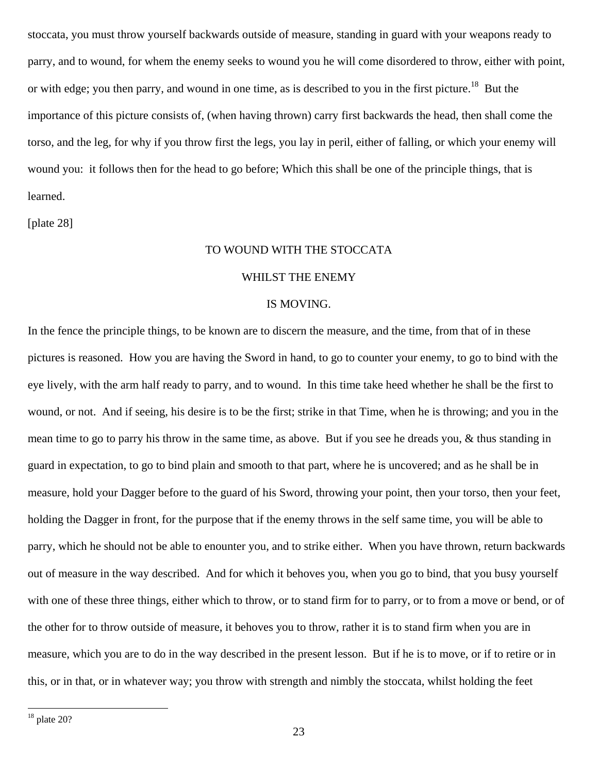stoccata, you must throw yourself backwards outside of measure, standing in guard with your weapons ready to parry, and to wound, for whem the enemy seeks to wound you he will come disordered to throw, either with point, or with edge; you then parry, and wound in one time, as is described to you in the first picture.<sup>[18](#page-22-0)</sup> But the importance of this picture consists of, (when having thrown) carry first backwards the head, then shall come the torso, and the leg, for why if you throw first the legs, you lay in peril, either of falling, or which your enemy will wound you: it follows then for the head to go before; Which this shall be one of the principle things, that is learned.

[plate 28]

## TO WOUND WITH THE STOCCATA

## WHILST THE ENEMY

## IS MOVING.

In the fence the principle things, to be known are to discern the measure, and the time, from that of in these pictures is reasoned. How you are having the Sword in hand, to go to counter your enemy, to go to bind with the eye lively, with the arm half ready to parry, and to wound. In this time take heed whether he shall be the first to wound, or not. And if seeing, his desire is to be the first; strike in that Time, when he is throwing; and you in the mean time to go to parry his throw in the same time, as above. But if you see he dreads you, & thus standing in guard in expectation, to go to bind plain and smooth to that part, where he is uncovered; and as he shall be in measure, hold your Dagger before to the guard of his Sword, throwing your point, then your torso, then your feet, holding the Dagger in front, for the purpose that if the enemy throws in the self same time, you will be able to parry, which he should not be able to enounter you, and to strike either. When you have thrown, return backwards out of measure in the way described. And for which it behoves you, when you go to bind, that you busy yourself with one of these three things, either which to throw, or to stand firm for to parry, or to from a move or bend, or of the other for to throw outside of measure, it behoves you to throw, rather it is to stand firm when you are in measure, which you are to do in the way described in the present lesson. But if he is to move, or if to retire or in this, or in that, or in whatever way; you throw with strength and nimbly the stoccata, whilst holding the feet

<span id="page-22-0"></span> $18$  plate 20?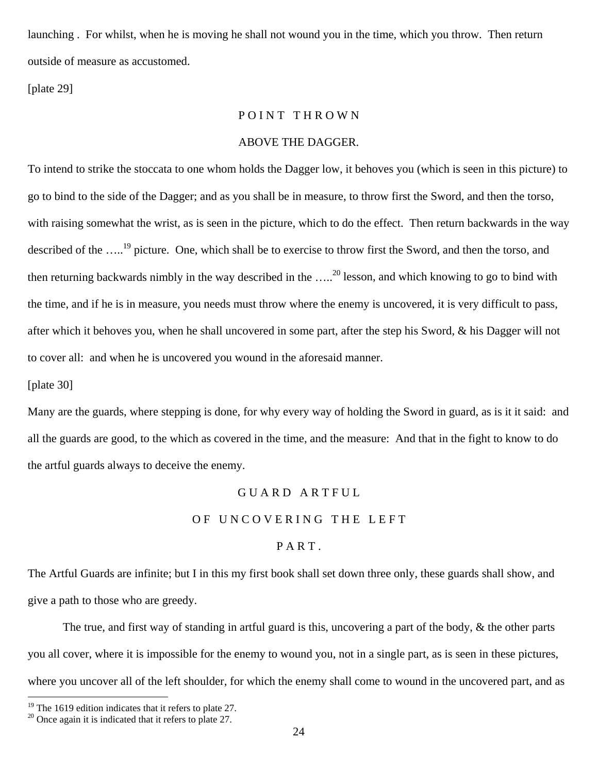launching . For whilst, when he is moving he shall not wound you in the time, which you throw. Then return outside of measure as accustomed.

[plate 29]

## POINT THROWN

## ABOVE THE DAGGER.

To intend to strike the stoccata to one whom holds the Dagger low, it behoves you (which is seen in this picture) to go to bind to the side of the Dagger; and as you shall be in measure, to throw first the Sword, and then the torso, with raising somewhat the wrist, as is seen in the picture, which to do the effect. Then return backwards in the way described of the ....<sup>19</sup> picture. One, which shall be to exercise to throw first the Sword, and then the torso, and then returning backwards nimbly in the way described in the  $\ldots$ <sup>20</sup> lesson, and which knowing to go to bind with the time, and if he is in measure, you needs must throw where the enemy is uncovered, it is very difficult to pass, after which it behoves you, when he shall uncovered in some part, after the step his Sword, & his Dagger will not to cover all: and when he is uncovered you wound in the aforesaid manner.

[plate 30]

 $\overline{a}$ 

Many are the guards, where stepping is done, for why every way of holding the Sword in guard, as is it it said: and all the guards are good, to the which as covered in the time, and the measure: And that in the fight to know to do the artful guards always to deceive the enemy.

## G U A R D A R T F U L

## OF UNCOVERING THE LEFT

## PART.

The Artful Guards are infinite; but I in this my first book shall set down three only, these guards shall show, and give a path to those who are greedy.

 The true, and first way of standing in artful guard is this, uncovering a part of the body, & the other parts you all cover, where it is impossible for the enemy to wound you, not in a single part, as is seen in these pictures, where you uncover all of the left shoulder, for which the enemy shall come to wound in the uncovered part, and as

<span id="page-23-1"></span><span id="page-23-0"></span>

<sup>&</sup>lt;sup>19</sup> The 1619 edition indicates that it refers to plate 27.<br><sup>20</sup> Once again it is indicated that it refers to plate 27.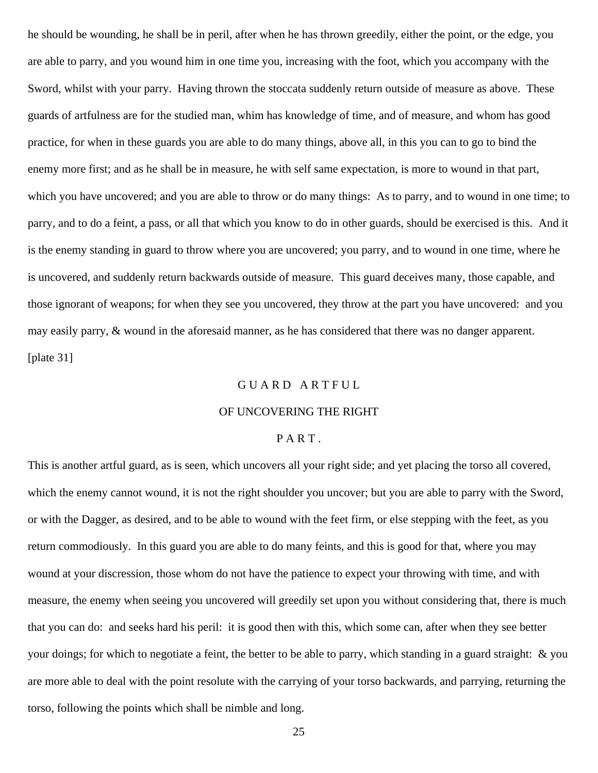he should be wounding, he shall be in peril, after when he has thrown greedily, either the point, or the edge, you are able to parry, and you wound him in one time you, increasing with the foot, which you accompany with the Sword, whilst with your parry. Having thrown the stoccata suddenly return outside of measure as above. These guards of artfulness are for the studied man, whim has knowledge of time, and of measure, and whom has good practice, for when in these guards you are able to do many things, above all, in this you can to go to bind the enemy more first; and as he shall be in measure, he with self same expectation, is more to wound in that part, which you have uncovered; and you are able to throw or do many things: As to parry, and to wound in one time; to parry, and to do a feint, a pass, or all that which you know to do in other guards, should be exercised is this. And it is the enemy standing in guard to throw where you are uncovered; you parry, and to wound in one time, where he is uncovered, and suddenly return backwards outside of measure. This guard deceives many, those capable, and those ignorant of weapons; for when they see you uncovered, they throw at the part you have uncovered: and you may easily parry, & wound in the aforesaid manner, as he has considered that there was no danger apparent. [plate 31]

## G U A R D A R T F U L

### OF UNCOVERING THE RIGHT

## PART.

This is another artful guard, as is seen, which uncovers all your right side; and yet placing the torso all covered, which the enemy cannot wound, it is not the right shoulder you uncover; but you are able to parry with the Sword, or with the Dagger, as desired, and to be able to wound with the feet firm, or else stepping with the feet, as you return commodiously. In this guard you are able to do many feints, and this is good for that, where you may wound at your discression, those whom do not have the patience to expect your throwing with time, and with measure, the enemy when seeing you uncovered will greedily set upon you without considering that, there is much that you can do: and seeks hard his peril: it is good then with this, which some can, after when they see better your doings; for which to negotiate a feint, the better to be able to parry, which standing in a guard straight: & you are more able to deal with the point resolute with the carrying of your torso backwards, and parrying, returning the torso, following the points which shall be nimble and long.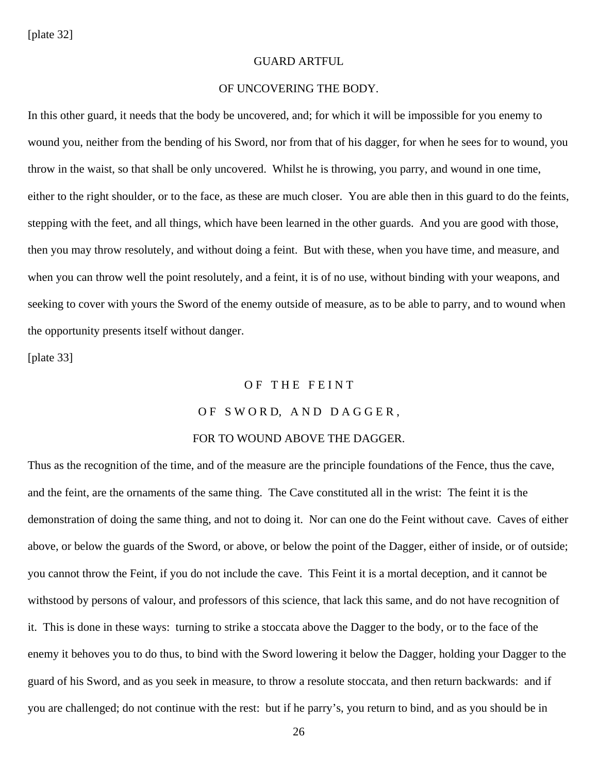[plate 32]

## GUARD ARTFUL

## OF UNCOVERING THE BODY.

In this other guard, it needs that the body be uncovered, and; for which it will be impossible for you enemy to wound you, neither from the bending of his Sword, nor from that of his dagger, for when he sees for to wound, you throw in the waist, so that shall be only uncovered. Whilst he is throwing, you parry, and wound in one time, either to the right shoulder, or to the face, as these are much closer. You are able then in this guard to do the feints, stepping with the feet, and all things, which have been learned in the other guards. And you are good with those, then you may throw resolutely, and without doing a feint. But with these, when you have time, and measure, and when you can throw well the point resolutely, and a feint, it is of no use, without binding with your weapons, and seeking to cover with yours the Sword of the enemy outside of measure, as to be able to parry, and to wound when the opportunity presents itself without danger.

[plate 33]

#### OF THE FEINT

## OF SWORD, AND DAGGER,

### FOR TO WOUND ABOVE THE DAGGER.

Thus as the recognition of the time, and of the measure are the principle foundations of the Fence, thus the cave, and the feint, are the ornaments of the same thing. The Cave constituted all in the wrist: The feint it is the demonstration of doing the same thing, and not to doing it. Nor can one do the Feint without cave. Caves of either above, or below the guards of the Sword, or above, or below the point of the Dagger, either of inside, or of outside; you cannot throw the Feint, if you do not include the cave. This Feint it is a mortal deception, and it cannot be withstood by persons of valour, and professors of this science, that lack this same, and do not have recognition of it. This is done in these ways: turning to strike a stoccata above the Dagger to the body, or to the face of the enemy it behoves you to do thus, to bind with the Sword lowering it below the Dagger, holding your Dagger to the guard of his Sword, and as you seek in measure, to throw a resolute stoccata, and then return backwards: and if you are challenged; do not continue with the rest: but if he parry's, you return to bind, and as you should be in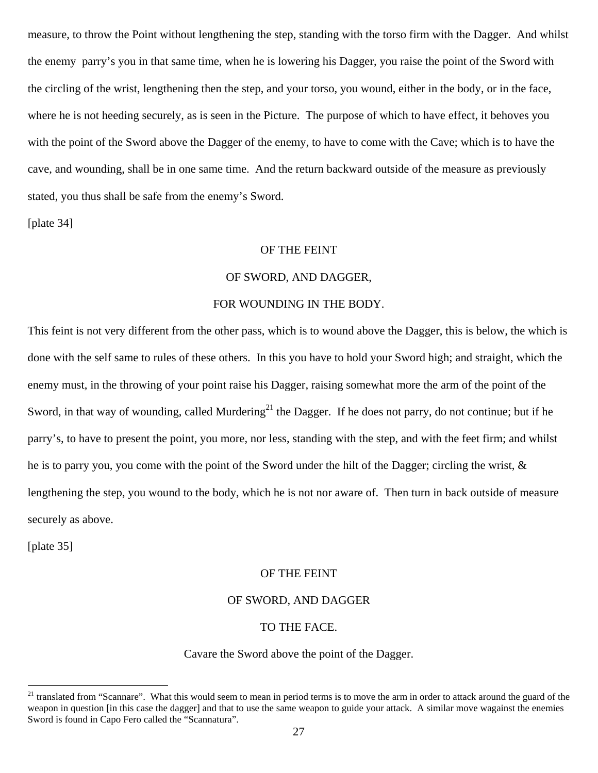measure, to throw the Point without lengthening the step, standing with the torso firm with the Dagger. And whilst the enemy parry's you in that same time, when he is lowering his Dagger, you raise the point of the Sword with the circling of the wrist, lengthening then the step, and your torso, you wound, either in the body, or in the face, where he is not heeding securely, as is seen in the Picture. The purpose of which to have effect, it behoves you with the point of the Sword above the Dagger of the enemy, to have to come with the Cave; which is to have the cave, and wounding, shall be in one same time. And the return backward outside of the measure as previously stated, you thus shall be safe from the enemy's Sword.

[plate 34]

## OF THE FEINT

## OF SWORD, AND DAGGER,

## FOR WOUNDING IN THE BODY.

This feint is not very different from the other pass, which is to wound above the Dagger, this is below, the which is done with the self same to rules of these others. In this you have to hold your Sword high; and straight, which the enemy must, in the throwing of your point raise his Dagger, raising somewhat more the arm of the point of the Sword, in that way of wounding, called Murdering<sup>21</sup> the Dagger. If he does not parry, do not continue; but if he parry's, to have to present the point, you more, nor less, standing with the step, and with the feet firm; and whilst he is to parry you, you come with the point of the Sword under the hilt of the Dagger; circling the wrist, & lengthening the step, you wound to the body, which he is not nor aware of. Then turn in back outside of measure securely as above.

[plate 35]

 $\overline{a}$ 

## OF THE FEINT

## OF SWORD, AND DAGGER

## TO THE FACE.

## Cavare the Sword above the point of the Dagger.

<span id="page-26-0"></span><sup>&</sup>lt;sup>21</sup> translated from "Scannare". What this would seem to mean in period terms is to move the arm in order to attack around the guard of the weapon in question [in this case the dagger] and that to use the same weapon to guide your attack. A similar move wagainst the enemies Sword is found in Capo Fero called the "Scannatura".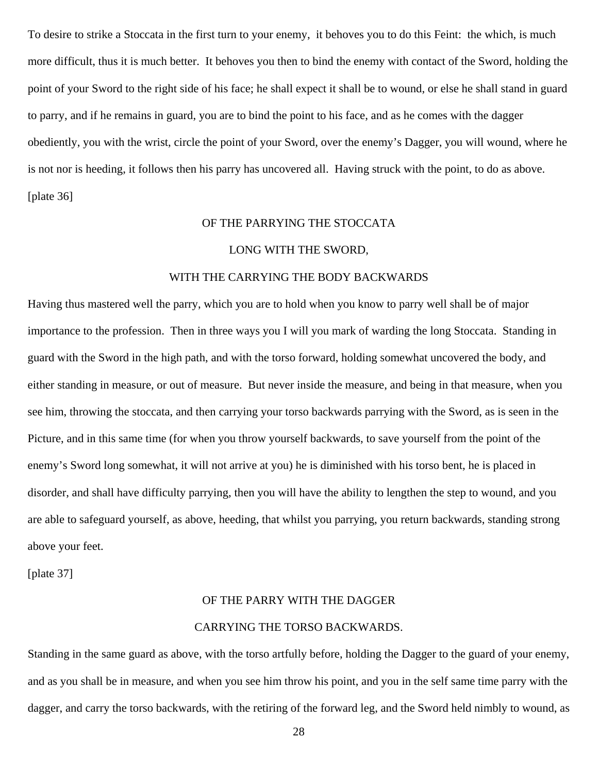To desire to strike a Stoccata in the first turn to your enemy, it behoves you to do this Feint: the which, is much more difficult, thus it is much better. It behoves you then to bind the enemy with contact of the Sword, holding the point of your Sword to the right side of his face; he shall expect it shall be to wound, or else he shall stand in guard to parry, and if he remains in guard, you are to bind the point to his face, and as he comes with the dagger obediently, you with the wrist, circle the point of your Sword, over the enemy's Dagger, you will wound, where he is not nor is heeding, it follows then his parry has uncovered all. Having struck with the point, to do as above. [plate 36]

## OF THE PARRYING THE STOCCATA

#### LONG WITH THE SWORD,

## WITH THE CARRYING THE BODY BACKWARDS

Having thus mastered well the parry, which you are to hold when you know to parry well shall be of major importance to the profession. Then in three ways you I will you mark of warding the long Stoccata. Standing in guard with the Sword in the high path, and with the torso forward, holding somewhat uncovered the body, and either standing in measure, or out of measure. But never inside the measure, and being in that measure, when you see him, throwing the stoccata, and then carrying your torso backwards parrying with the Sword, as is seen in the Picture, and in this same time (for when you throw yourself backwards, to save yourself from the point of the enemy's Sword long somewhat, it will not arrive at you) he is diminished with his torso bent, he is placed in disorder, and shall have difficulty parrying, then you will have the ability to lengthen the step to wound, and you are able to safeguard yourself, as above, heeding, that whilst you parrying, you return backwards, standing strong above your feet.

[plate 37]

#### OF THE PARRY WITH THE DAGGER

## CARRYING THE TORSO BACKWARDS.

Standing in the same guard as above, with the torso artfully before, holding the Dagger to the guard of your enemy, and as you shall be in measure, and when you see him throw his point, and you in the self same time parry with the dagger, and carry the torso backwards, with the retiring of the forward leg, and the Sword held nimbly to wound, as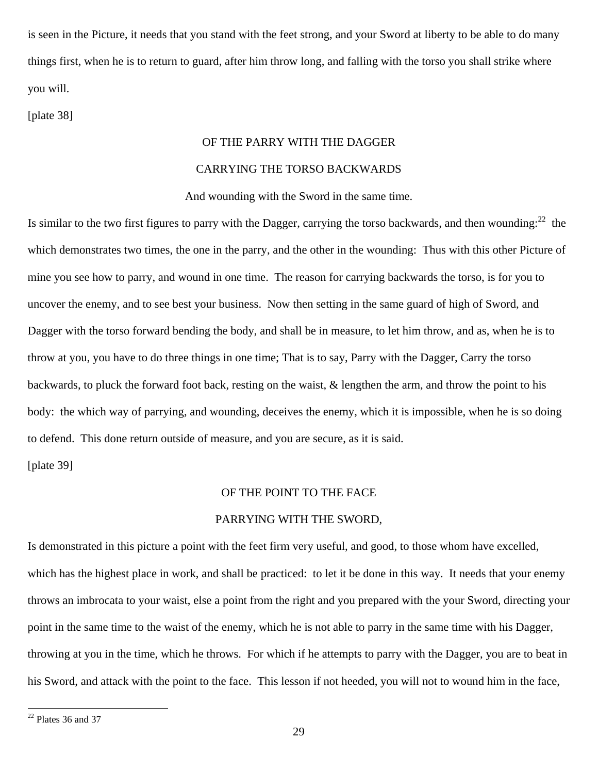is seen in the Picture, it needs that you stand with the feet strong, and your Sword at liberty to be able to do many things first, when he is to return to guard, after him throw long, and falling with the torso you shall strike where you will.

[plate 38]

## OF THE PARRY WITH THE DAGGER

## CARRYING THE TORSO BACKWARDS

And wounding with the Sword in the same time.

Is similar to the two first figures to parry with the Dagger, carrying the torso backwards, and then wounding:  $22$  the which demonstrates two times, the one in the parry, and the other in the wounding: Thus with this other Picture of mine you see how to parry, and wound in one time. The reason for carrying backwards the torso, is for you to uncover the enemy, and to see best your business. Now then setting in the same guard of high of Sword, and Dagger with the torso forward bending the body, and shall be in measure, to let him throw, and as, when he is to throw at you, you have to do three things in one time; That is to say, Parry with the Dagger, Carry the torso backwards, to pluck the forward foot back, resting on the waist, & lengthen the arm, and throw the point to his body: the which way of parrying, and wounding, deceives the enemy, which it is impossible, when he is so doing to defend. This done return outside of measure, and you are secure, as it is said.

[plate 39]

## OF THE POINT TO THE FACE

## PARRYING WITH THE SWORD,

Is demonstrated in this picture a point with the feet firm very useful, and good, to those whom have excelled, which has the highest place in work, and shall be practiced: to let it be done in this way. It needs that your enemy throws an imbrocata to your waist, else a point from the right and you prepared with the your Sword, directing your point in the same time to the waist of the enemy, which he is not able to parry in the same time with his Dagger, throwing at you in the time, which he throws. For which if he attempts to parry with the Dagger, you are to beat in his Sword, and attack with the point to the face. This lesson if not heeded, you will not to wound him in the face,

<span id="page-28-0"></span> $22$  Plates 36 and 37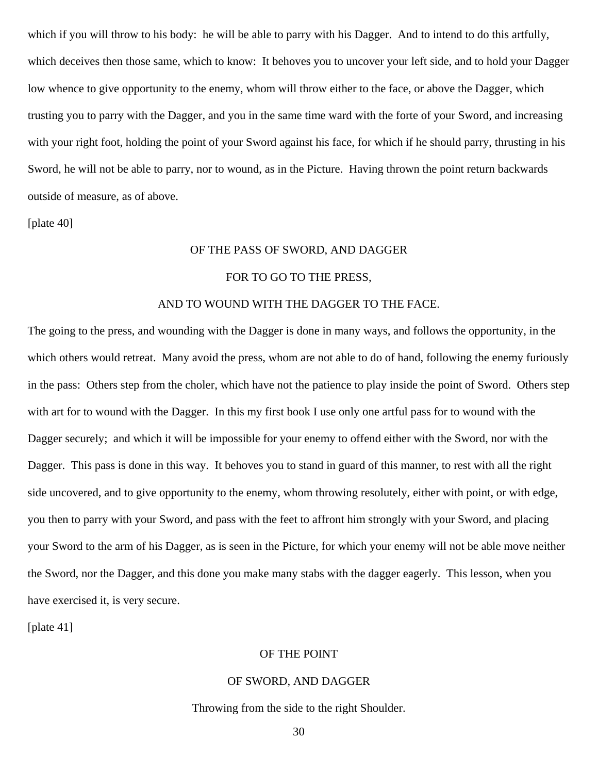which if you will throw to his body: he will be able to parry with his Dagger. And to intend to do this artfully, which deceives then those same, which to know: It behoves you to uncover your left side, and to hold your Dagger low whence to give opportunity to the enemy, whom will throw either to the face, or above the Dagger, which trusting you to parry with the Dagger, and you in the same time ward with the forte of your Sword, and increasing with your right foot, holding the point of your Sword against his face, for which if he should parry, thrusting in his Sword, he will not be able to parry, nor to wound, as in the Picture. Having thrown the point return backwards outside of measure, as of above.

[plate 40]

## OF THE PASS OF SWORD, AND DAGGER

## FOR TO GO TO THE PRESS,

## AND TO WOUND WITH THE DAGGER TO THE FACE.

The going to the press, and wounding with the Dagger is done in many ways, and follows the opportunity, in the which others would retreat. Many avoid the press, whom are not able to do of hand, following the enemy furiously in the pass: Others step from the choler, which have not the patience to play inside the point of Sword. Others step with art for to wound with the Dagger. In this my first book I use only one artful pass for to wound with the Dagger securely; and which it will be impossible for your enemy to offend either with the Sword, nor with the Dagger. This pass is done in this way. It behoves you to stand in guard of this manner, to rest with all the right side uncovered, and to give opportunity to the enemy, whom throwing resolutely, either with point, or with edge, you then to parry with your Sword, and pass with the feet to affront him strongly with your Sword, and placing your Sword to the arm of his Dagger, as is seen in the Picture, for which your enemy will not be able move neither the Sword, nor the Dagger, and this done you make many stabs with the dagger eagerly. This lesson, when you have exercised it, is very secure.

[plate 41]

## OF THE POINT

## OF SWORD, AND DAGGER

## Throwing from the side to the right Shoulder.